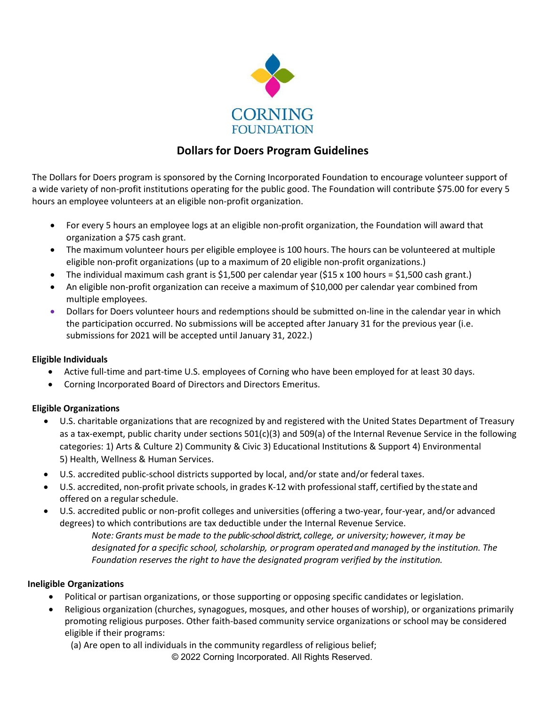

# **Dollars for Doers Program Guidelines**

The Dollars for Doers program is sponsored by the Corning Incorporated Foundation to encourage volunteer support of a wide variety of non-profit institutions operating for the public good. The Foundation will contribute \$75.00 for every 5 hours an employee volunteers at an eligible non-profit organization.

- For every 5 hours an employee logs at an eligible non-profit organization, the Foundation will award that organization a \$75 cash grant.
- The maximum volunteer hours per eligible employee is 100 hours. The hours can be volunteered at multiple eligible non-profit organizations (up to a maximum of 20 eligible non-profit organizations.)
- The individual maximum cash grant is \$1,500 per calendar year (\$15 x 100 hours = \$1,500 cash grant.)
- An eligible non-profit organization can receive a maximum of \$10,000 per calendar year combined from multiple employees.
- Dollars for Doers volunteer hours and redemptions should be submitted on-line in the calendar year in which the participation occurred. No submissions will be accepted after January 31 for the previous year (i.e. submissions for 2021 will be accepted until January 31, 2022.)

# **Eligible Individuals**

- Active full-time and part-time U.S. employees of Corning who have been employed for at least 30 days.
- Corning Incorporated Board of Directors and Directors Emeritus.

# **Eligible Organizations**

- U.S. charitable organizations that are recognized by and registered with the United States Department of Treasury as a tax-exempt, public charity under sections 501(c)(3) and 509(a) of the Internal Revenue Service in the following categories: 1) Arts & Culture 2) Community & Civic 3) Educational Institutions & Support 4) Environmental 5) Health, Wellness & Human Services.
- U.S. accredited public-school districts supported by local, and/or state and/or federal taxes.
- U.S. accredited, non-profit private schools, in grades K-12 with professional staff, certified by thestate and offered on a regular schedule.
- U.S. accredited public or non-profit colleges and universities (offering a two-year, four-year, and/or advanced degrees) to which contributions are tax deductible under the Internal Revenue Service.

*Note: Grants must be made to the public-school district, college, or university; however, itmay be designated for a specific school, scholarship, or program operatedand managed by the institution. The Foundation reserves the right to have the designated program verified by the institution.*

### **Ineligible Organizations**

- Political or partisan organizations, or those supporting or opposing specific candidates or legislation.
- Religious organization (churches, synagogues, mosques, and other houses of worship), or organizations primarily promoting religious purposes. Other faith-based community service organizations or school may be considered eligible if their programs:

© 2022 Corning Incorporated. All Rights Reserved. (a) Are open to all individuals in the community regardless of religious belief;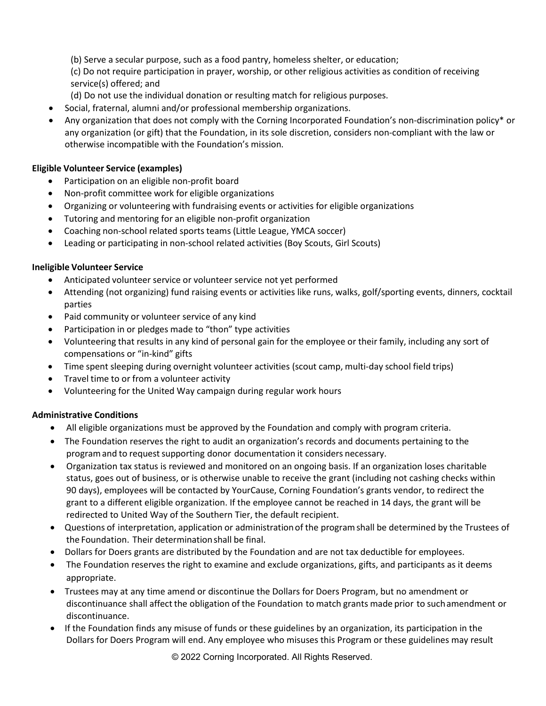(b) Serve a secular purpose, such as a food pantry, homeless shelter, or education;

(c) Do not require participation in prayer, worship, or other religious activities as condition of receiving service(s) offered; and

- (d) Do not use the individual donation or resulting match for religious purposes.
- Social, fraternal, alumni and/or professional membership organizations.
- Any organization that does not comply with the Corning Incorporated Foundation's non-discrimination policy\* or any organization (or gift) that the Foundation, in its sole discretion, considers non-compliant with the law or otherwise incompatible with the Foundation's mission.

## **Eligible Volunteer Service (examples)**

- Participation on an eligible non-profit board
- Non-profit committee work for eligible organizations
- Organizing or volunteering with fundraising events or activities for eligible organizations
- Tutoring and mentoring for an eligible non-profit organization
- Coaching non-school related sports teams (Little League, YMCA soccer)
- Leading or participating in non-school related activities (Boy Scouts, Girl Scouts)

### **Ineligible Volunteer Service**

- Anticipated volunteer service or volunteer service not yet performed
- Attending (not organizing) fund raising events or activities like runs, walks, golf/sporting events, dinners, cocktail parties
- Paid community or volunteer service of any kind
- Participation in or pledges made to "thon" type activities
- Volunteering that results in any kind of personal gain for the employee or their family, including any sort of compensations or "in-kind" gifts
- Time spent sleeping during overnight volunteer activities (scout camp, multi-day school field trips)
- Travel time to or from a volunteer activity
- Volunteering for the United Way campaign during regular work hours

### **Administrative Conditions**

- All eligible organizations must be approved by the Foundation and comply with program criteria.
- The Foundation reserves the right to audit an organization's records and documents pertaining to the programand to requestsupporting donor documentation it considers necessary.
- Organization tax status is reviewed and monitored on an ongoing basis. If an organization loses charitable status, goes out of business, or is otherwise unable to receive the grant (including not cashing checks within 90 days), employees will be contacted by YourCause, Corning Foundation's grants vendor, to redirect the grant to a different eligible organization. If the employee cannot be reached in 14 days, the grant will be redirected to United Way of the Southern Tier, the default recipient.
- Questions of interpretation, application or administrationof the programshall be determined by the Trustees of the Foundation. Their determinationshall be final.
- Dollars for Doers grants are distributed by the Foundation and are not tax deductible for employees.
- The Foundation reserves the right to examine and exclude organizations, gifts, and participants as it deems appropriate.
- Trustees may at any time amend or discontinue the Dollars for Doers Program, but no amendment or discontinuance shall affectthe obligation of the Foundation to match grants made prior to suchamendment or discontinuance.
- If the Foundation finds any misuse of funds or these guidelines by an organization, its participation in the Dollars for Doers Program will end. Any employee who misuses this Program or these guidelines may result

© 2022 Corning Incorporated. All Rights Reserved.